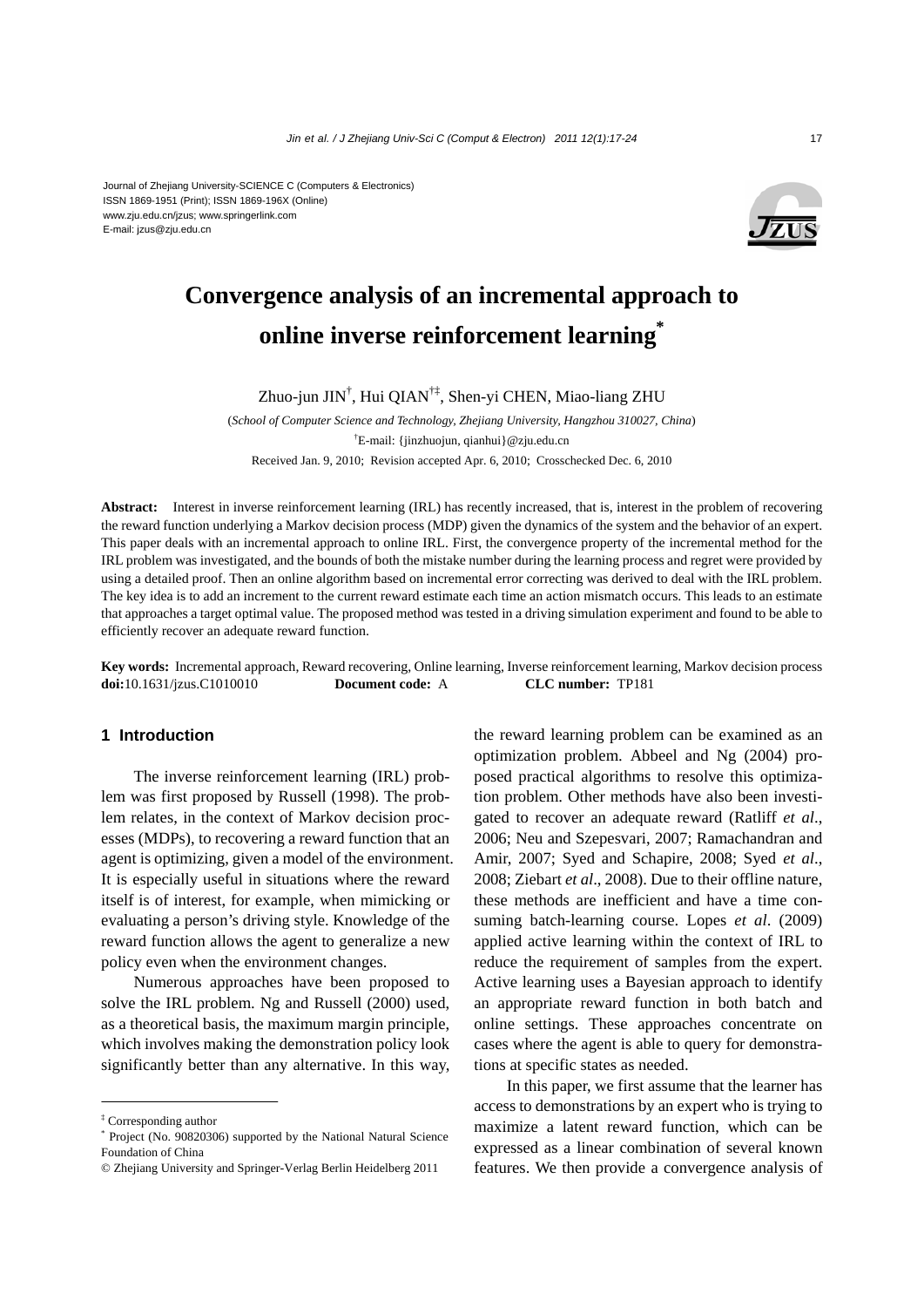

# **Convergence analysis of an incremental approach to online inverse reinforcement learning\***

Zhuo-jun JIN<sup>†</sup>, Hui QIAN<sup>†‡</sup>, Shen-yi CHEN, Miao-liang ZHU

(*School of Computer Science and Technology, Zhejiang University, Hangzhou 310027, China*) † E-mail: {jinzhuojun, qianhui}@zju.edu.cn Received Jan. 9, 2010; Revision accepted Apr. 6, 2010; Crosschecked Dec. 6, 2010

Abstract: Interest in inverse reinforcement learning (IRL) has recently increased, that is, interest in the problem of recovering the reward function underlying a Markov decision process (MDP) given the dynamics of the system and the behavior of an expert. This paper deals with an incremental approach to online IRL. First, the convergence property of the incremental method for the IRL problem was investigated, and the bounds of both the mistake number during the learning process and regret were provided by using a detailed proof. Then an online algorithm based on incremental error correcting was derived to deal with the IRL problem. The key idea is to add an increment to the current reward estimate each time an action mismatch occurs. This leads to an estimate that approaches a target optimal value. The proposed method was tested in a driving simulation experiment and found to be able to efficiently recover an adequate reward function.

**Key words:** Incremental approach, Reward recovering, Online learning, Inverse reinforcement learning, Markov decision process **doi:**10.1631/jzus.C1010010 **Document code:** A **CLC number:** TP181

### **1 Introduction**

The inverse reinforcement learning (IRL) problem was first proposed by Russell (1998). The problem relates, in the context of Markov decision processes (MDPs), to recovering a reward function that an agent is optimizing, given a model of the environment. It is especially useful in situations where the reward itself is of interest, for example, when mimicking or evaluating a person's driving style. Knowledge of the reward function allows the agent to generalize a new policy even when the environment changes.

Numerous approaches have been proposed to solve the IRL problem. Ng and Russell (2000) used, as a theoretical basis, the maximum margin principle, which involves making the demonstration policy look significantly better than any alternative. In this way,

the reward learning problem can be examined as an optimization problem. Abbeel and Ng (2004) proposed practical algorithms to resolve this optimization problem. Other methods have also been investigated to recover an adequate reward (Ratliff *et al*., 2006; Neu and Szepesvari, 2007; Ramachandran and Amir, 2007; Syed and Schapire, 2008; Syed *et al*., 2008; Ziebart *et al*., 2008). Due to their offline nature, these methods are inefficient and have a time consuming batch-learning course. Lopes *et al*. (2009) applied active learning within the context of IRL to reduce the requirement of samples from the expert. Active learning uses a Bayesian approach to identify an appropriate reward function in both batch and online settings. These approaches concentrate on cases where the agent is able to query for demonstrations at specific states as needed.

In this paper, we first assume that the learner has access to demonstrations by an expert who is trying to maximize a latent reward function, which can be expressed as a linear combination of several known features. We then provide a convergence analysis of

<sup>‡</sup> Corresponding author

<sup>\*</sup> Project (No. 90820306) supported by the National Natural Science Foundation of China

<sup>©</sup> Zhejiang University and Springer-Verlag Berlin Heidelberg 2011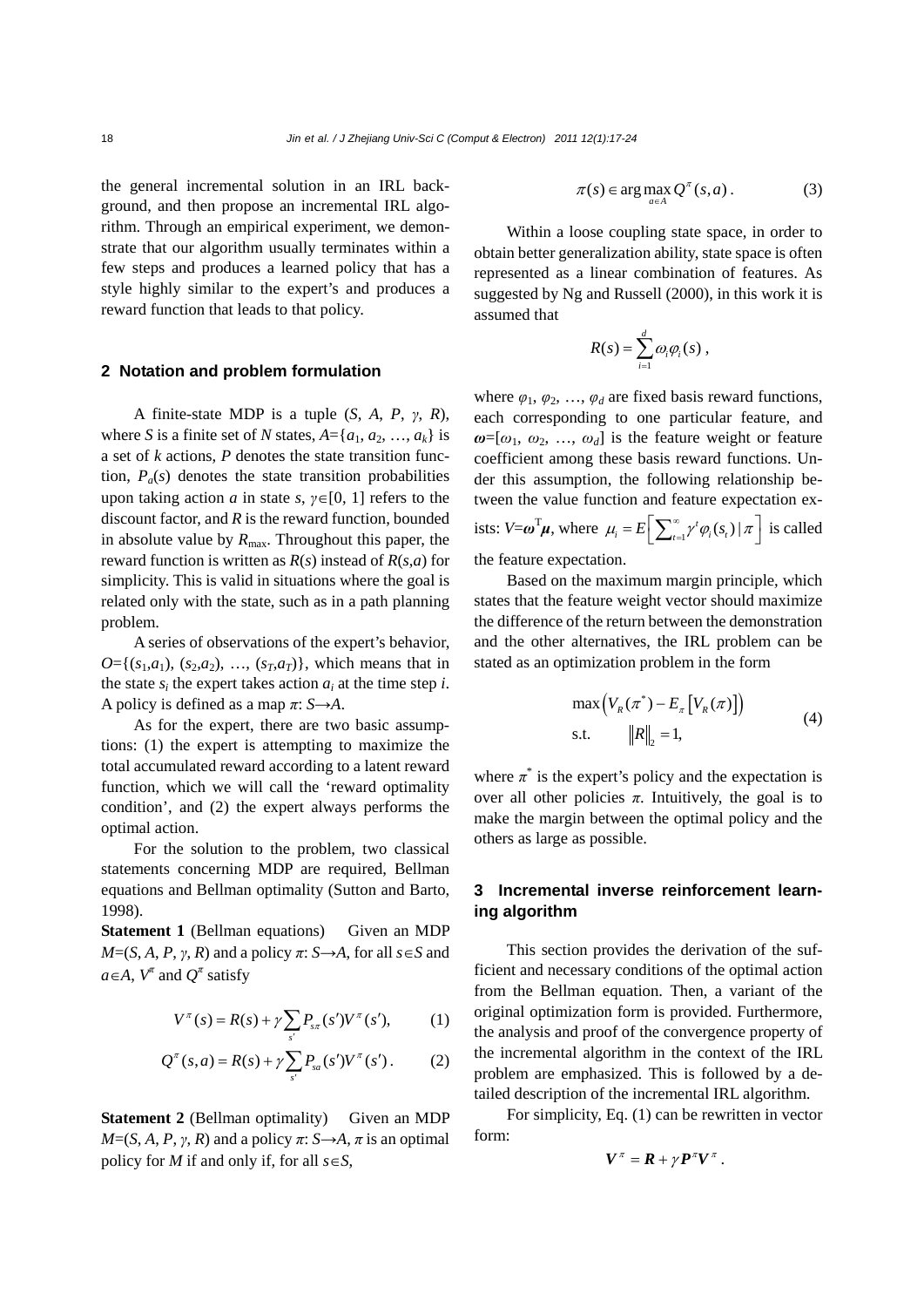the general incremental solution in an IRL background, and then propose an incremental IRL algorithm. Through an empirical experiment, we demonstrate that our algorithm usually terminates within a few steps and produces a learned policy that has a style highly similar to the expert's and produces a reward function that leads to that policy.

## **2 Notation and problem formulation**

A finite-state MDP is a tuple (*S*, *A*, *P*, *γ*, *R*), where *S* is a finite set of *N* states,  $A = \{a_1, a_2, \ldots, a_k\}$  is a set of *k* actions, *P* denotes the state transition function,  $P_a(s)$  denotes the state transition probabilities upon taking action *a* in state *s*, *γ*∈[0, 1] refers to the discount factor, and *R* is the reward function, bounded in absolute value by  $R_{\text{max}}$ . Throughout this paper, the reward function is written as *R*(*s*) instead of *R*(*s*,*a*) for simplicity. This is valid in situations where the goal is related only with the state, such as in a path planning problem.

A series of observations of the expert's behavior,  $O = \{(s_1, a_1), (s_2, a_2), ..., (s_T, a_T)\}\$ , which means that in the state  $s_i$  the expert takes action  $a_i$  at the time step *i*. A policy is defined as a map *π*: *S*→*A*.

As for the expert, there are two basic assumptions: (1) the expert is attempting to maximize the total accumulated reward according to a latent reward function, which we will call the 'reward optimality condition', and (2) the expert always performs the optimal action.

For the solution to the problem, two classical statements concerning MDP are required, Bellman equations and Bellman optimality (Sutton and Barto, 1998).

**Statement 1** (Bellman equations) Given an MDP  $M=(S, A, P, \gamma, R)$  and a policy  $\pi: S \rightarrow A$ , for all  $s \in S$  and  $a \in A$ ,  $V^{\pi}$  and  $Q^{\pi}$  satisfy

$$
V^{\pi}(s) = R(s) + \gamma \sum_{s'} P_{s\pi}(s')V^{\pi}(s'), \qquad (1)
$$

$$
Q^{\pi}(s, a) = R(s) + \gamma \sum_{s'} P_{sa}(s')V^{\pi}(s').
$$
 (2)

**Statement 2** (Bellman optimality) Given an MDP  $M=(S, A, P, \gamma, R)$  and a policy  $\pi: S \rightarrow A$ ,  $\pi$  is an optimal policy for *M* if and only if, for all  $s \in S$ ,

$$
\pi(s) \in \arg\max_{a \in A} Q^{\pi}(s, a).
$$
 (3)

Within a loose coupling state space, in order to obtain better generalization ability, state space is often represented as a linear combination of features. As suggested by Ng and Russell (2000), in this work it is assumed that

$$
R(s) = \sum_{i=1}^d \omega_i \varphi_i(s) ,
$$

where  $\varphi_1, \varphi_2, \ldots, \varphi_d$  are fixed basis reward functions, each corresponding to one particular feature, and  $\omega = [\omega_1, \omega_2, \ldots, \omega_d]$  is the feature weight or feature coefficient among these basis reward functions. Under this assumption, the following relationship between the value function and feature expectation exists:  $V = \omega^T \mu$ , where  $\mu_i = E \left[ \sum_{t=1}^{\infty} \gamma^t \varphi_i(s_t) \mid \pi \right]$  is called the feature expectation.

Based on the maximum margin principle, which states that the feature weight vector should maximize the difference of the return between the demonstration and the other alternatives, the IRL problem can be stated as an optimization problem in the form

$$
\max\left(V_R(\pi^*) - E_{\pi}\left[V_R(\pi)\right]\right)
$$
  
s.t.  $||R||_2 = 1,$  (4)

where  $\pi^*$  is the expert's policy and the expectation is over all other policies  $\pi$ . Intuitively, the goal is to make the margin between the optimal policy and the others as large as possible.

# **3 Incremental inverse reinforcement learning algorithm**

This section provides the derivation of the sufficient and necessary conditions of the optimal action from the Bellman equation. Then, a variant of the original optimization form is provided. Furthermore, the analysis and proof of the convergence property of the incremental algorithm in the context of the IRL problem are emphasized. This is followed by a detailed description of the incremental IRL algorithm.

For simplicity, Eq. (1) can be rewritten in vector form:

$$
V^{\pi} = R + \gamma P^{\pi} V^{\pi}.
$$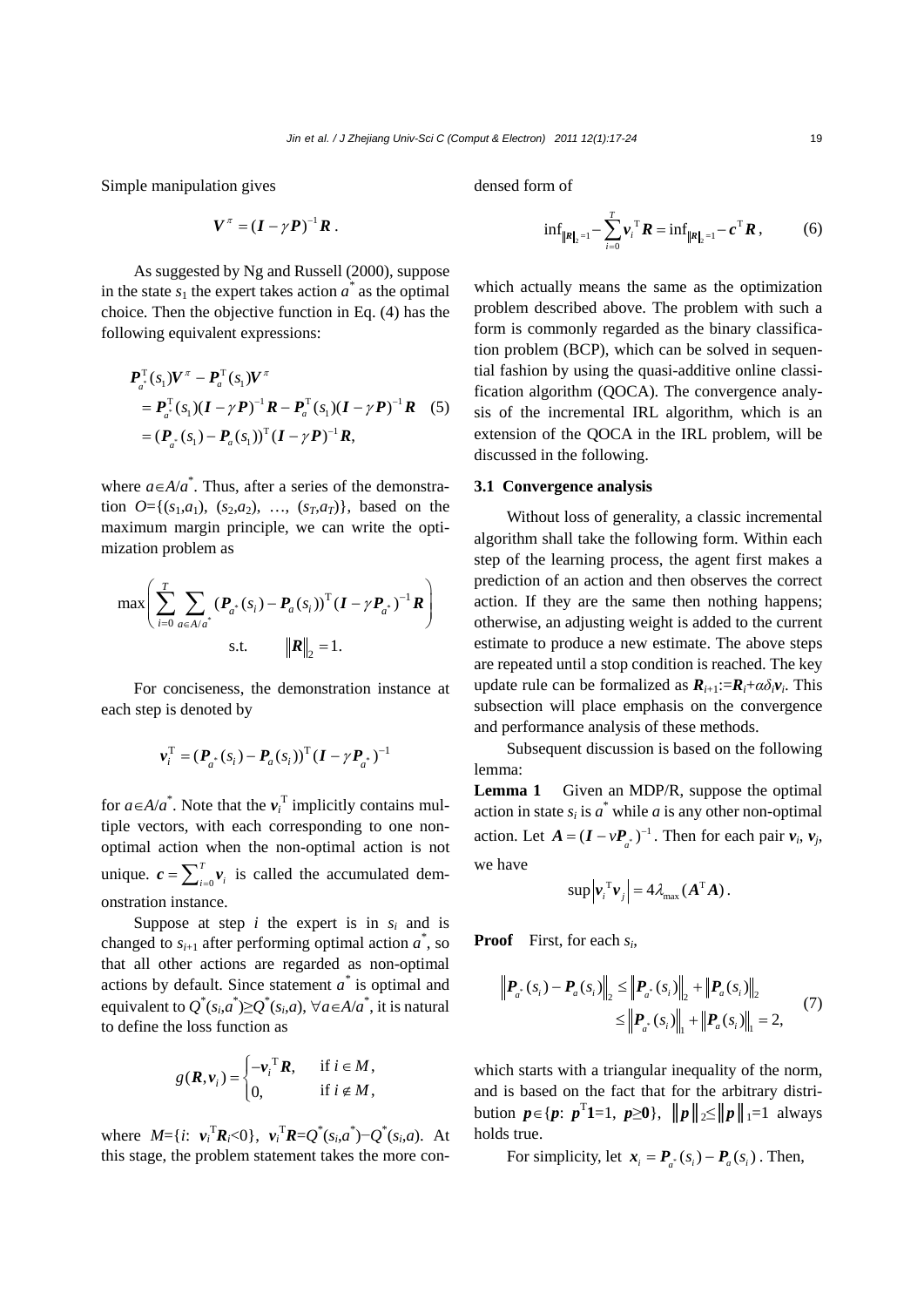Simple manipulation gives

$$
\boldsymbol{V}^{\pi} = (\boldsymbol{I} - \gamma \boldsymbol{P})^{-1} \boldsymbol{R} .
$$

As suggested by Ng and Russell (2000), suppose in the state  $s_1$  the expert takes action  $a^*$  as the optimal choice. Then the objective function in Eq. (4) has the following equivalent expressions:

$$
\begin{split} \boldsymbol{P}_{a}^{\mathrm{T}}(s_{1})\boldsymbol{V}^{\pi} - \boldsymbol{P}_{a}^{\mathrm{T}}(s_{1})\boldsymbol{V}^{\pi} \\ &= \boldsymbol{P}_{a}^{\mathrm{T}}(s_{1})(\boldsymbol{I} - \gamma \boldsymbol{P})^{-1}\boldsymbol{R} - \boldsymbol{P}_{a}^{\mathrm{T}}(s_{1})(\boldsymbol{I} - \gamma \boldsymbol{P})^{-1}\boldsymbol{R} \quad (5) \\ &= (\boldsymbol{P}_{a^{*}}(s_{1}) - \boldsymbol{P}_{a}(s_{1}))^{\mathrm{T}}(\boldsymbol{I} - \gamma \boldsymbol{P})^{-1}\boldsymbol{R}, \end{split}
$$

where *a*∈*A*/*a*\* . Thus, after a series of the demonstration  $O=\{(s_1,a_1), (s_2,a_2), ..., (s_T,a_T)\}\)$ , based on the maximum margin principle, we can write the optimization problem as

$$
\max \left( \sum_{i=0}^{T} \sum_{a \in A/a^{*}} (\bm{P}_{a^{*}}(s_{i}) - \bm{P}_{a}(s_{i}))^{T} (\bm{I} - \gamma \bm{P}_{a^{*}})^{-1} \bm{R} \right)
$$
  
s.t.  $||\bm{R}||_{2} = 1$ .

For conciseness, the demonstration instance at each step is denoted by

$$
\boldsymbol{v}_i^{\mathrm{T}} = (\boldsymbol{P}_{a^*}(s_i) - \boldsymbol{P}_a(s_i))^{\mathrm{T}} (\boldsymbol{I} - \gamma \boldsymbol{P}_{a^*})^{-1}
$$

for  $a \in A/a^*$ . Note that the  $v_i^T$  implicitly contains multiple vectors, with each corresponding to one nonoptimal action when the non-optimal action is not unique.  $\mathbf{c} = \sum_{i=0}^{T} \mathbf{v}_i$  is called the accumulated demonstration instance.

Suppose at step  $i$  the expert is in  $s_i$  and is changed to  $s_{i+1}$  after performing optimal action  $a^*$ , so that all other actions are regarded as non-optimal actions by default. Since statement  $a^*$  is optimal and equivalent to  $Q^*(s_i, a^*) \geq Q^*(s_i, a)$ ,  $\forall a \in A/a^*$ , it is natural to define the loss function as

$$
g(\boldsymbol{R}, \boldsymbol{\nu}_i) = \begin{cases} -\boldsymbol{\nu}_i^{\mathrm{T}} \boldsymbol{R}, & \text{if } i \in M, \\ 0, & \text{if } i \notin M, \end{cases}
$$

where  $M = \{i: \mathbf{v}_i^{\mathrm{T}} \mathbf{R}_i < 0\}$ ,  $\mathbf{v}_i^{\mathrm{T}} \mathbf{R} = Q^*(s_i, a^*) - Q^*(s_i, a)$ . At this stage, the problem statement takes the more condensed form of

$$
\inf_{\|\mathbf{R}\|_{2}=1} - \sum_{i=0}^{T} \mathbf{v}_{i}^{\mathrm{T}} \mathbf{R} = \inf_{\|\mathbf{R}\|_{2}=1} - \mathbf{c}^{\mathrm{T}} \mathbf{R},
$$
 (6)

which actually means the same as the optimization problem described above. The problem with such a form is commonly regarded as the binary classification problem (BCP), which can be solved in sequential fashion by using the quasi-additive online classification algorithm (QOCA). The convergence analysis of the incremental IRL algorithm, which is an extension of the QOCA in the IRL problem, will be discussed in the following.

#### **3.1 Convergence analysis**

Without loss of generality, a classic incremental algorithm shall take the following form. Within each step of the learning process, the agent first makes a prediction of an action and then observes the correct action. If they are the same then nothing happens; otherwise, an adjusting weight is added to the current estimate to produce a new estimate. The above steps are repeated until a stop condition is reached. The key update rule can be formalized as  $\mathbf{R}_{i+1}:=\mathbf{R}_i+\alpha\delta_i\mathbf{v}_i$ . This subsection will place emphasis on the convergence and performance analysis of these methods.

Subsequent discussion is based on the following lemma:

**Lemma 1** Given an MDP/R, suppose the optimal action in state  $s_i$  is  $a^*$  while  $a$  is any other non-optimal action. Let  $A = (I - vP_{a^*})^{-1}$ . Then for each pair  $v_i$ ,  $v_j$ , we have

$$
\sup \left| \boldsymbol{v}_i^{\mathrm{T}} \boldsymbol{v}_j \right| = 4 \lambda_{\max} \left( \boldsymbol{A}^{\mathrm{T}} \boldsymbol{A} \right).
$$

**Proof** First, for each *si*,

$$
\begin{aligned} \left\| \boldsymbol{P}_{a^*}(s_i) - \boldsymbol{P}_{a}(s_i) \right\|_2 &\leq \left\| \boldsymbol{P}_{a^*}(s_i) \right\|_2 + \left\| \boldsymbol{P}_{a}(s_i) \right\|_2 \\ &\leq \left\| \boldsymbol{P}_{a^*}(s_i) \right\|_1 + \left\| \boldsymbol{P}_{a}(s_i) \right\|_1 = 2, \end{aligned} \tag{7}
$$

which starts with a triangular inequality of the norm, and is based on the fact that for the arbitrary distribution  $p \in \{p: p^T 1 = 1, p \ge 0\}$ ,  $||p||_2 \le ||p||_1 = 1$  always holds true.

For simplicity, let  $\mathbf{x}_i = \mathbf{P}_{a}$  ( $s_i$ ) –  $\mathbf{P}_{a}(s_i)$ . Then,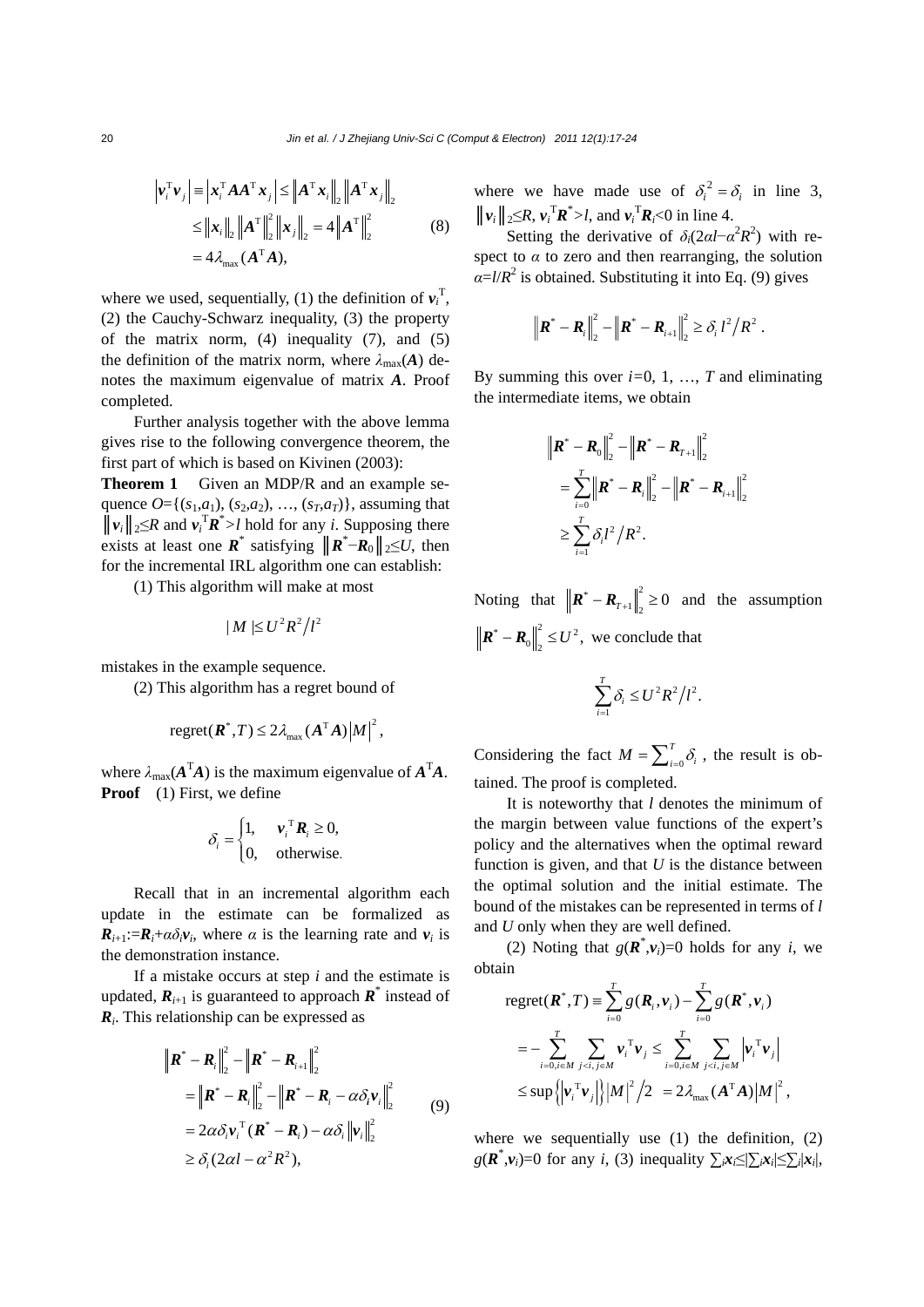∥

$$
\left|\mathbf{v}_{i}^{\mathrm{T}}\mathbf{v}_{j}\right| \equiv \left|\mathbf{x}_{i}^{\mathrm{T}}\mathbf{A}\mathbf{A}^{\mathrm{T}}\mathbf{x}_{j}\right| \leq \left\|\mathbf{A}^{\mathrm{T}}\mathbf{x}_{i}\right\|_{2} \left\|\mathbf{A}^{\mathrm{T}}\mathbf{x}_{j}\right\|_{2}
$$

$$
\leq \left\|\mathbf{x}_{i}\right\|_{2} \left\|\mathbf{A}^{\mathrm{T}}\right\|_{2}^{2} \left\|\mathbf{x}_{j}\right\|_{2} = 4 \left\|\mathbf{A}^{\mathrm{T}}\right\|_{2}^{2}
$$
(8)
$$
= 4\lambda_{\max}(\mathbf{A}^{\mathrm{T}}\mathbf{A}),
$$

where we used, sequentially, (1) the definition of  $v_i^T$ , (2) the Cauchy-Schwarz inequality, (3) the property of the matrix norm, (4) inequality (7), and (5) the definition of the matrix norm, where  $\lambda_{\text{max}}(A)$  denotes the maximum eigenvalue of matrix *A*. Proof completed.

Further analysis together with the above lemma gives rise to the following convergence theorem, the first part of which is based on Kivinen (2003):

**Theorem 1** Given an MDP/R and an example sequence  $O = \{(s_1, a_1), (s_2, a_2), ..., (s_T, a_T)\}\)$ , assuming that  $||v_i||_2 \leq R$  and  $v_i^T R^* > l$  hold for any *i*. Supposing there exists at least one  $\mathbf{R}^*$  satisfying  $\|\mathbf{R}^* - \mathbf{R}_0\|_2 \leq U$ , then for the incremental IRL algorithm one can establish:

(1) This algorithm will make at most

 $|M| \le U^2 R^2 / l^2$ 

mistakes in the example sequence.

(2) This algorithm has a regret bound of

$$
\text{regret}(\boldsymbol{R}^*,T) \leq 2\lambda_{\max}(\boldsymbol{A}^{\mathrm{T}}\boldsymbol{A})|\boldsymbol{M}|^2,
$$

where  $\lambda_{\text{max}}(A^{\text{T}}A)$  is the maximum eigenvalue of  $A^{\text{T}}A$ . **Proof** (1) First, we define

$$
\delta_i = \begin{cases} 1, & \mathbf{v}_i^{\mathrm{T}} \mathbf{R}_i \ge 0, \\ 0, & \text{otherwise.} \end{cases}
$$

Recall that in an incremental algorithm each update in the estimate can be formalized as  $\mathbf{R}_{i+1}:=\mathbf{R}_i+\alpha\delta_i\mathbf{v}_i$ , where  $\alpha$  is the learning rate and  $\mathbf{v}_i$  is the demonstration instance.

If a mistake occurs at step *i* and the estimate is updated,  $\mathbf{R}_{i+1}$  is guaranteed to approach  $\mathbf{R}^*$  instead of *Ri*. This relationship can be expressed as

$$
\|\boldsymbol{R}^* - \boldsymbol{R}_i\|_2^2 - \|\boldsymbol{R}^* - \boldsymbol{R}_{i+1}\|_2^2
$$
  
\n
$$
= \|\boldsymbol{R}^* - \boldsymbol{R}_i\|_2^2 - \|\boldsymbol{R}^* - \boldsymbol{R}_i - \alpha \delta_i \boldsymbol{v}_i\|_2^2
$$
  
\n
$$
= 2\alpha \delta_i \boldsymbol{v}_i^{\mathrm{T}} (\boldsymbol{R}^* - \boldsymbol{R}_i) - \alpha \delta_i \|\boldsymbol{v}_i\|_2^2
$$
  
\n
$$
\geq \delta_i (2\alpha \mathbf{I} - \alpha^2 \mathbf{R}^2),
$$
 (9)

where we have made use of  $\delta_i^2 = \delta_i$  in line 3,  $\|\mathbf{v}_i\|_2 \leq R$ ,  $\mathbf{v}_i^T \mathbf{R}^* > l$ , and  $\mathbf{v}_i^T \mathbf{R} \leq 0$  in line 4.

Setting the derivative of  $\delta_i(2\alpha l - \alpha^2 R^2)$  with respect to  $\alpha$  to zero and then rearranging, the solution  $\alpha = l/R^2$  is obtained. Substituting it into Eq. (9) gives

$$
\boldsymbol{R}^* - \boldsymbol{R}_i \Big\|_2^2 - \Big\| \boldsymbol{R}^* - \boldsymbol{R}_{i+1} \Big\|_2^2 \geq \delta_i l^2 / R^2.
$$

By summing this over  $i=0, 1, \ldots, T$  and eliminating the intermediate items, we obtain

$$
\|\mathbf{R}^* - \mathbf{R}_0\|_2^2 - \|\mathbf{R}^* - \mathbf{R}_{T+1}\|_2^2
$$
  
= 
$$
\sum_{i=0}^T \|\mathbf{R}^* - \mathbf{R}_i\|_2^2 - \|\mathbf{R}^* - \mathbf{R}_{i+1}\|_2^2
$$
  

$$
\geq \sum_{i=1}^T \delta_i l^2 / R^2.
$$

Noting that  $\|\mathbf{R}^* - \mathbf{R}_{T+1}\|_2^2 \ge 0$  and the assumption  $\boldsymbol{R}^* - \boldsymbol{R}_0 \Big\|_2^2 \leq U^2$ , we conclude that

$$
\sum_{i=1}^T \delta_i \leq U^2 R^2 / l^2.
$$

Considering the fact  $M = \sum_{i=0}^{T} \delta_i$ , the result is obtained. The proof is completed.

It is noteworthy that *l* denotes the minimum of the margin between value functions of the expert's policy and the alternatives when the optimal reward function is given, and that *U* is the distance between the optimal solution and the initial estimate. The bound of the mistakes can be represented in terms of *l* and *U* only when they are well defined.

(2) Noting that  $g(\mathbf{R}^*, v_i) = 0$  holds for any *i*, we obtain

regret
$$
(\boldsymbol{R}^*,T)
$$
 =  $\sum_{i=0}^T g(\boldsymbol{R}_i, \boldsymbol{v}_i) - \sum_{i=0}^T g(\boldsymbol{R}^*, \boldsymbol{v}_i)$   
\n=  $-\sum_{i=0, i \in M}^T \sum_{j < i, j \in M} \boldsymbol{v}_i^T \boldsymbol{v}_j \le \sum_{i=0, i \in M}^T \sum_{j < i, j \in M} |\boldsymbol{v}_i^T \boldsymbol{v}_j|$   
\n $\le \sup \{ |\boldsymbol{v}_i^T \boldsymbol{v}_j| \} |M|^2 / 2 = 2 \lambda_{\max} (A^T A) |M|^2,$ 

where we sequentially use (1) the definition, (2)  $g(\mathbf{R}^*, v_i) = 0$  for any *i*, (3) inequality  $\sum_i x_i \leq \sum_i x_i \leq \sum_i |x_i|$ ,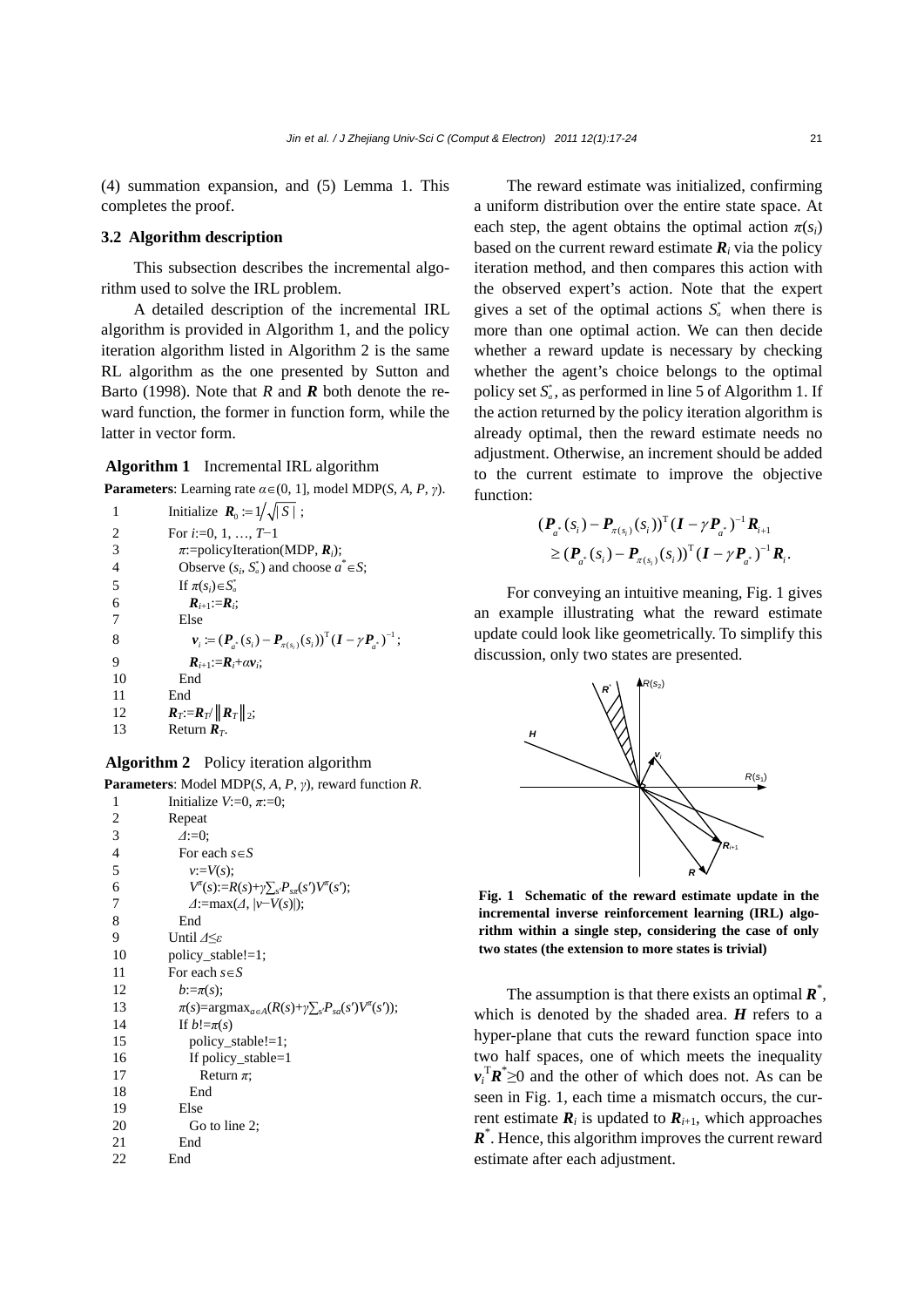(4) summation expansion, and (5) Lemma 1. This completes the proof.

#### **3.2 Algorithm description**

This subsection describes the incremental algorithm used to solve the IRL problem.

A detailed description of the incremental IRL algorithm is provided in Algorithm 1, and the policy iteration algorithm listed in Algorithm 2 is the same RL algorithm as the one presented by Sutton and Barto (1998). Note that *R* and *R* both denote the reward function, the former in function form, while the latter in vector form.

# **Algorithm 1** Incremental IRL algorithm

**Parameters**: Learning rate  $\alpha \in (0, 1]$ , model MDP(*S*, *A*, *P*, *γ*).

|    | Initialize $\mathbf{R}_0 := 1/\sqrt{ S }$ ;                              |
|----|--------------------------------------------------------------------------|
| 2  | For $i=0, 1, , T-1$                                                      |
| 3  | $\pi$ :=policyIteration(MDP, $\mathbf{R}_i$ );                           |
| 4  | Observe $(s_i, S_a^*)$ and choose $a^* \in S$ ;                          |
| 5  | If $\pi(s_i) \in S_a^*$                                                  |
| 6  | $R_{i+1}:=R_i;$                                                          |
|    | Else                                                                     |
| 8  | $v_i := (P_{s^*}(s_i) - P_{\pi(s_i)}(s_i))^T (I - \gamma P_{s^*})^{-1};$ |
| 9  | $R_{i+1}:=R_i+\alpha v_i$                                                |
| 10 | End                                                                      |
| 11 | End                                                                      |
| 12 | $R_T = R_T /   R_T  _2;$                                                 |
| 13 | Return $\mathbf{R}_T$ .                                                  |

# **Algorithm 2** Policy iteration algorithm

**Parameters**: Model MDP(*S*, *A*, *P*, *γ*), reward function *R*. 1 Initialize  $V=0$ ,  $\pi=0$ ;

| 2              | Repeat                                                                         |
|----------------|--------------------------------------------------------------------------------|
| 3              | $\Delta := 0$ :                                                                |
| $\overline{4}$ | For each $s \in S$                                                             |
| 5              | $v:=V(s)$ :                                                                    |
| 6              | $V^{\pi}(s) := R(s) + \gamma \sum_{s'} P_{s\pi}(s')V^{\pi}(s')$ ;              |
| 7              | $\Delta$ :=max $(\Delta,  v-V(s) )$ ;                                          |
| 8              | End                                                                            |
| 9              | Until $\Delta \leq \epsilon$                                                   |
| 10             | policy_stable!=1;                                                              |
| 11             | For each $s \in S$                                                             |
| 12             | $b:=\pi(s)$ :                                                                  |
| 13             | $\pi(s)$ =argmax <sub>a∈A</sub> $(R(s)+\gamma\sum_{s'}P_{sa}(s')V^{\pi}(s'));$ |
| 14             | If $b!=\pi(s)$                                                                 |
| 15             | policy_stable!=1;                                                              |
| 16             | If policy_stable=1                                                             |
| 17             | Return $\pi$ :                                                                 |
| 18             | End                                                                            |
| 19             | Else                                                                           |
| 20             | Go to line 2;                                                                  |
| 21             | End                                                                            |
| 22             | End                                                                            |

The reward estimate was initialized, confirming a uniform distribution over the entire state space. At each step, the agent obtains the optimal action  $\pi(s_i)$ based on the current reward estimate  $\mathbf{R}_i$  via the policy iteration method, and then compares this action with the observed expert's action. Note that the expert gives a set of the optimal actions  $S_a^*$  when there is more than one optimal action. We can then decide whether a reward update is necessary by checking whether the agent's choice belongs to the optimal policy set  $S_a^*$ , as performed in line 5 of Algorithm 1. If the action returned by the policy iteration algorithm is already optimal, then the reward estimate needs no adjustment. Otherwise, an increment should be added to the current estimate to improve the objective function:

$$
\begin{aligned} & \left( \boldsymbol{P}_{a^*}(s_i) - \boldsymbol{P}_{\pi(s_i)}(s_i) \right)^{\mathrm{T}} \left( \boldsymbol{I} - \gamma \boldsymbol{P}_{a^*} \right)^{-1} \boldsymbol{R}_{i+1} \\ & \geq \left( \boldsymbol{P}_{a^*}(s_i) - \boldsymbol{P}_{\pi(s_i)}(s_i) \right)^{\mathrm{T}} \left( \boldsymbol{I} - \gamma \boldsymbol{P}_{a^*} \right)^{-1} \boldsymbol{R}_{i}. \end{aligned}
$$

For conveying an intuitive meaning, Fig. 1 gives an example illustrating what the reward estimate update could look like geometrically. To simplify this discussion, only two states are presented.



**Fig. 1 Schematic of the reward estimate update in the incremental inverse reinforcement learning (IRL) algorithm within a single step, considering the case of only two states (the extension to more states is trivial)** 

The assumption is that there exists an optimal  $\mathbf{R}^*$ , which is denoted by the shaded area.  $H$  refers to a hyper-plane that cuts the reward function space into two half spaces, one of which meets the inequality  $v_i^T R^* \ge 0$  and the other of which does not. As can be seen in Fig. 1, each time a mismatch occurs, the current estimate  $\mathbf{R}_i$  is updated to  $\mathbf{R}_{i+1}$ , which approaches *R*\* . Hence, this algorithm improves the current reward estimate after each adjustment.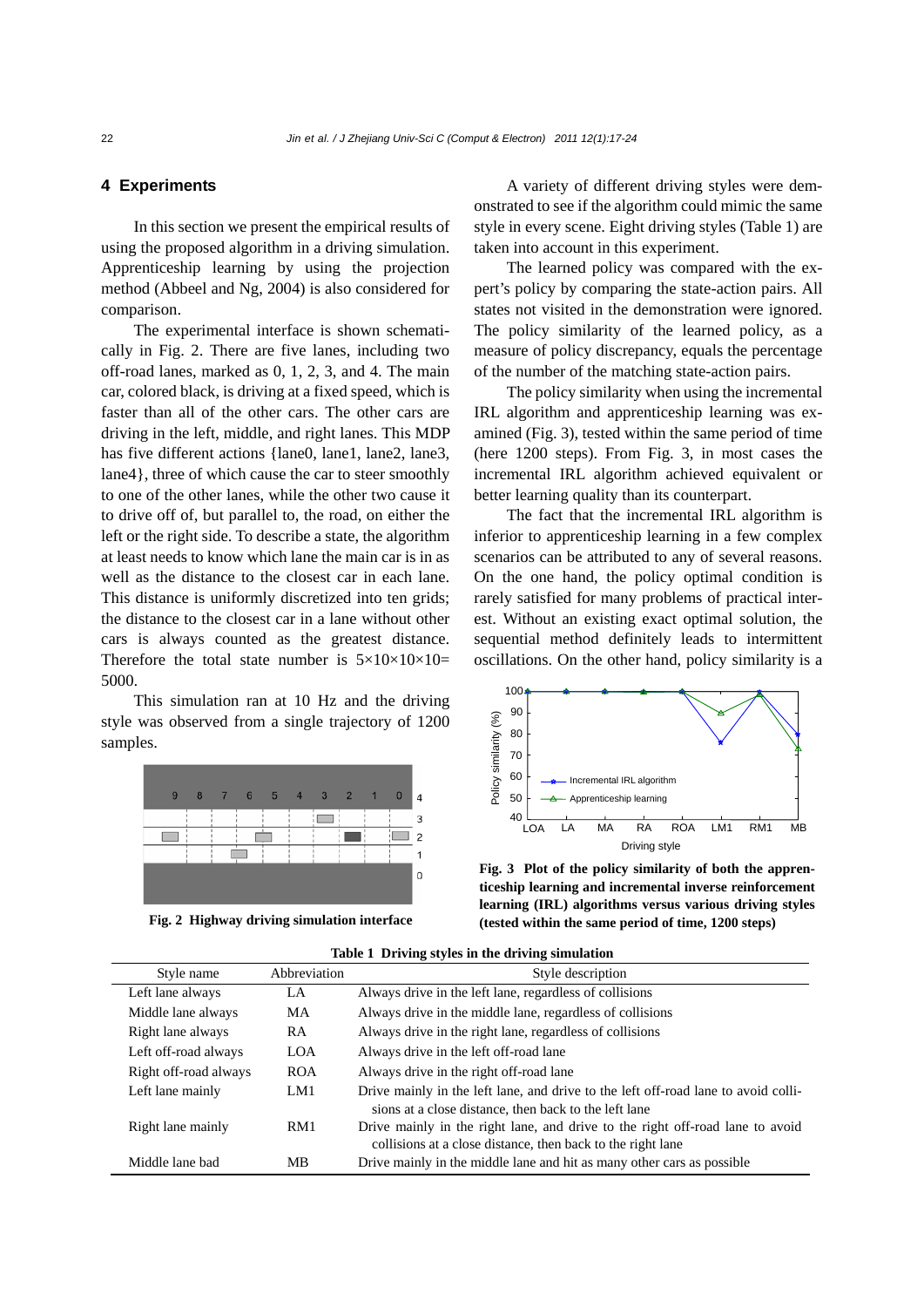## **4 Experiments**

In this section we present the empirical results of using the proposed algorithm in a driving simulation. Apprenticeship learning by using the projection method (Abbeel and Ng, 2004) is also considered for comparison.

The experimental interface is shown schematically in Fig. 2. There are five lanes, including two off-road lanes, marked as 0, 1, 2, 3, and 4. The main car, colored black, is driving at a fixed speed, which is faster than all of the other cars. The other cars are driving in the left, middle, and right lanes. This MDP has five different actions {lane0, lane1, lane2, lane3, lane4}, three of which cause the car to steer smoothly to one of the other lanes, while the other two cause it to drive off of, but parallel to, the road, on either the left or the right side. To describe a state, the algorithm at least needs to know which lane the main car is in as well as the distance to the closest car in each lane. This distance is uniformly discretized into ten grids; the distance to the closest car in a lane without other cars is always counted as the greatest distance. Therefore the total state number is  $5 \times 10 \times 10 \times 10=$ 5000.

This simulation ran at 10 Hz and the driving style was observed from a single trajectory of 1200 samples.



**Fig. 2 Highway driving simulation interface** 

A variety of different driving styles were demonstrated to see if the algorithm could mimic the same style in every scene. Eight driving styles (Table 1) are taken into account in this experiment.

The learned policy was compared with the expert's policy by comparing the state-action pairs. All states not visited in the demonstration were ignored. The policy similarity of the learned policy, as a measure of policy discrepancy, equals the percentage of the number of the matching state-action pairs.

The policy similarity when using the incremental IRL algorithm and apprenticeship learning was examined (Fig. 3), tested within the same period of time (here 1200 steps). From Fig. 3, in most cases the incremental IRL algorithm achieved equivalent or better learning quality than its counterpart.

The fact that the incremental IRL algorithm is inferior to apprenticeship learning in a few complex scenarios can be attributed to any of several reasons. On the one hand, the policy optimal condition is rarely satisfied for many problems of practical interest. Without an existing exact optimal solution, the sequential method definitely leads to intermittent oscillations. On the other hand, policy similarity is a



**Fig. 3 Plot of the policy similarity of both the apprenticeship learning and incremental inverse reinforcement learning (IRL) algorithms versus various driving styles (tested within the same period of time, 1200 steps)** 

| Style name            | Abbreviation | Style description                                                                                                                            |
|-----------------------|--------------|----------------------------------------------------------------------------------------------------------------------------------------------|
| Left lane always      | LA           | Always drive in the left lane, regardless of collisions                                                                                      |
| Middle lane always    | MA           | Always drive in the middle lane, regardless of collisions                                                                                    |
| Right lane always     | RA           | Always drive in the right lane, regardless of collisions                                                                                     |
| Left off-road always  | <b>LOA</b>   | Always drive in the left off-road lane                                                                                                       |
| Right off-road always | <b>ROA</b>   | Always drive in the right off-road lane                                                                                                      |
| Left lane mainly      | LM1          | Drive mainly in the left lane, and drive to the left off-road lane to avoid colli-<br>sions at a close distance, then back to the left lane  |
| Right lane mainly     | RM1          | Drive mainly in the right lane, and drive to the right off-road lane to avoid<br>collisions at a close distance, then back to the right lane |
| Middle lane bad       | МB           | Drive mainly in the middle lane and hit as many other cars as possible                                                                       |

**Table 1 Driving styles in the driving simulation**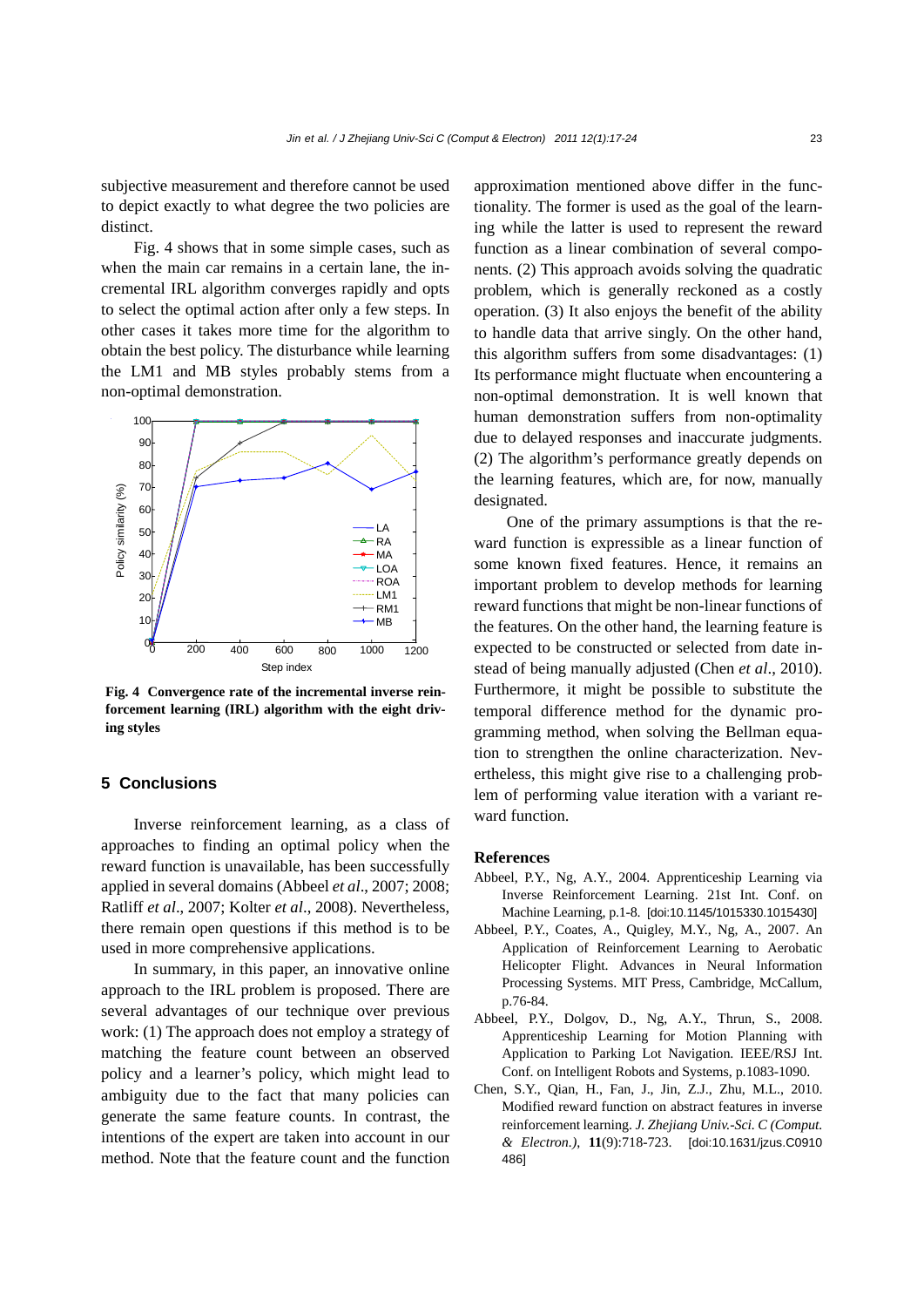subjective measurement and therefore cannot be used to depict exactly to what degree the two policies are distinct.

Fig. 4 shows that in some simple cases, such as when the main car remains in a certain lane, the incremental IRL algorithm converges rapidly and opts to select the optimal action after only a few steps. In other cases it takes more time for the algorithm to obtain the best policy. The disturbance while learning the LM1 and MB styles probably stems from a non-optimal demonstration.



**Fig. 4 Convergence rate of the incremental inverse reinforcement learning (IRL) algorithm with the eight driving styles** 

#### **5 Conclusions**

Inverse reinforcement learning, as a class of approaches to finding an optimal policy when the reward function is unavailable, has been successfully applied in several domains (Abbeel *et al*., 2007; 2008; Ratliff *et al*., 2007; Kolter *et al*., 2008). Nevertheless, there remain open questions if this method is to be used in more comprehensive applications.

In summary, in this paper, an innovative online approach to the IRL problem is proposed. There are several advantages of our technique over previous work: (1) The approach does not employ a strategy of matching the feature count between an observed policy and a learner's policy, which might lead to ambiguity due to the fact that many policies can generate the same feature counts. In contrast, the intentions of the expert are taken into account in our method. Note that the feature count and the function approximation mentioned above differ in the functionality. The former is used as the goal of the learning while the latter is used to represent the reward function as a linear combination of several components. (2) This approach avoids solving the quadratic problem, which is generally reckoned as a costly operation. (3) It also enjoys the benefit of the ability to handle data that arrive singly. On the other hand, this algorithm suffers from some disadvantages: (1) Its performance might fluctuate when encountering a non-optimal demonstration. It is well known that human demonstration suffers from non-optimality due to delayed responses and inaccurate judgments. (2) The algorithm's performance greatly depends on the learning features, which are, for now, manually designated.

One of the primary assumptions is that the reward function is expressible as a linear function of some known fixed features. Hence, it remains an important problem to develop methods for learning reward functions that might be non-linear functions of the features. On the other hand, the learning feature is expected to be constructed or selected from date instead of being manually adjusted (Chen *et al*., 2010). Furthermore, it might be possible to substitute the temporal difference method for the dynamic programming method, when solving the Bellman equation to strengthen the online characterization. Nevertheless, this might give rise to a challenging problem of performing value iteration with a variant reward function.

### **References**

- Abbeel, P.Y., Ng, A.Y., 2004. Apprenticeship Learning via Inverse Reinforcement Learning. 21st Int. Conf. on Machine Learning, p.1-8. [doi:10.1145/1015330.1015430]
- Abbeel, P.Y., Coates, A., Quigley, M.Y., Ng, A., 2007. An Application of Reinforcement Learning to Aerobatic Helicopter Flight. Advances in Neural Information Processing Systems. MIT Press, Cambridge, McCallum, p.76-84.
- Abbeel, P.Y., Dolgov, D., Ng, A.Y., Thrun, S., 2008. Apprenticeship Learning for Motion Planning with Application to Parking Lot Navigation. IEEE/RSJ Int. Conf. on Intelligent Robots and Systems, p.1083-1090.
- Chen, S.Y., Qian, H., Fan, J., Jin, Z.J., Zhu, M.L., 2010. Modified reward function on abstract features in inverse reinforcement learning. *J. Zhejiang Univ.-Sci. C (Comput. & Electron.)*, **11**(9):718-723. [doi:10.1631/jzus.C0910 486]